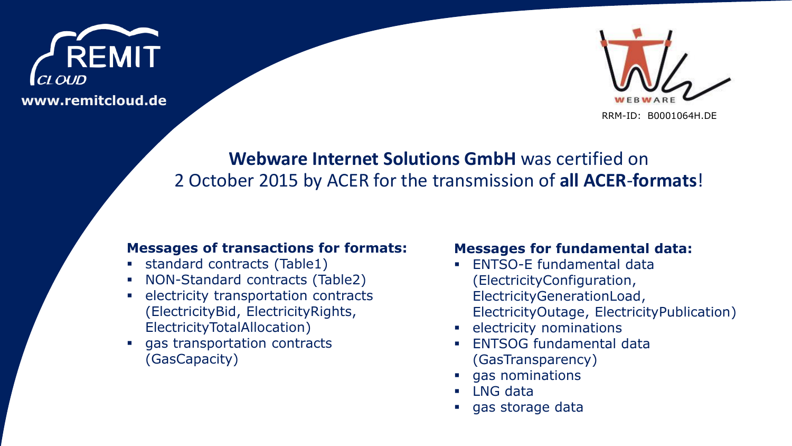



# **Webware Internet Solutions GmbH** was certified on 2 October 2015 by ACER for the transmission of **all ACER**-**formats**!

## **Messages of transactions for formats:**

- standard contracts (Table1)
- NON-Standard contracts (Table2)
- **EXECUTE:** electricity transportation contracts (ElectricityBid, ElectricityRights, ElectricityTotalAllocation)
- gas transportation contracts (GasCapacity)

# **Messages for fundamental data:**

- **ENTSO-E fundamental data** (ElectricityConfiguration, ElectricityGenerationLoad, ElectricityOutage, ElectricityPublication)
- **E** electricity nominations
- **ENTSOG fundamental data** (GasTransparency)
- **gas nominations**
- **LNG** data
- **gas storage data**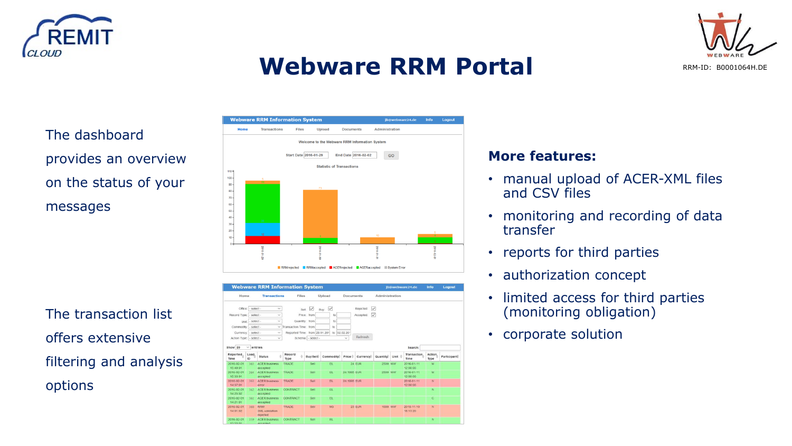



# **Webware RRM Portal**

RRM-ID: B0001064H.DE

The dashboard provides an overview on the status of your messages

The transaction list offers extensive filtering and analysis options



|                                                                                |                | <b>Webware RRM Information System</b>    |                               |                    |                           |                    |           |                   |                  |                        |                 |             |
|--------------------------------------------------------------------------------|----------------|------------------------------------------|-------------------------------|--------------------|---------------------------|--------------------|-----------|-------------------|------------------|------------------------|-----------------|-------------|
| Home                                                                           |                | <b>Transactions</b>                      | Files                         |                    | Upload                    | <b>Documents</b>   |           | Administration    |                  |                        |                 |             |
| Office:                                                                        | - select -     | $\checkmark$                             | Sell                          | $\overline{\vee}$  | $\overline{\vee}$<br>Buy: |                    | Rejected: | $\vee$            |                  |                        |                 |             |
| Record Type:                                                                   | - select -     | $\checkmark$                             |                               | Price: from        | to                        |                    | Accepted: | $\overline{\vee}$ |                  |                        |                 |             |
|                                                                                |                |                                          |                               |                    |                           |                    |           |                   |                  |                        |                 |             |
| Unit:                                                                          | - select -     | $\checkmark$                             | Quantity: from                |                    | to                        |                    |           |                   |                  |                        |                 |             |
| Commodity:                                                                     | - select -     | $\mathcal{L}$                            | Transaction Time: from        |                    | to                        |                    |           |                   |                  |                        |                 |             |
| Currency:                                                                      | - select -     | $\checkmark$                             | Reported Time: from 29.01.201 |                    | to 02.02.20               |                    |           |                   |                  |                        |                 |             |
| Action Type: - select -                                                        |                | $\checkmark$                             |                               | Schema: - select - |                           | $\checkmark$       | Refresh   |                   |                  |                        |                 |             |
|                                                                                |                |                                          |                               |                    |                           |                    |           |                   |                  |                        |                 |             |
| Show 20                                                                        | $\vee$ entries |                                          |                               |                    |                           |                    |           |                   |                  | Search:                |                 |             |
| Reported<br>Time                                                               | Load.<br>ID    | <b>Status</b>                            | Record<br>Type                | Buy/Sell           | Commodity                 | Price <sup>2</sup> | Currency  | Quantity          | Unit <sup></sup> | Transaction.<br>Time   | Action.<br>Type | Participant |
| 2016-02-01<br>15:49:01                                                         | 365            | <b>ACER business</b>                     |                               |                    |                           |                    |           |                   |                  |                        |                 |             |
|                                                                                |                | accepted                                 | TRADE                         | Sell               | EL.                       |                    | 24 EUR    | 2500 MW           |                  | 2016-01-11<br>12:00:00 | M               |             |
| 15:33:01                                                                       | 364            | <b>ACER business</b><br>accepted         | TRADE                         | Sell               | EL.                       | 24.1995 EUR        |           | 2500 MW           |                  | 2016-01-11<br>12:00:00 | M               |             |
| 14:37:01                                                                       | 363            | <b>ACER business</b><br>error            | TRADE                         | Sell               | EL.                       | 24.1995 EUR        |           |                   |                  | 2016-01-11<br>12.00:00 | N               |             |
| 14.25.02                                                                       | 362.           | <b>ACER business</b><br>accepted         | CONTRACT                      | Sell               | EL                        |                    |           |                   |                  |                        | $\mathbf{N}$    |             |
| 14 21 01                                                                       | 361            | <b>ACER business</b><br>accepted         | <b>CONTRACT</b>               | Sell               | EL.                       |                    |           |                   |                  |                        | c               |             |
| 2016-02-01<br>2016-02-01<br>2016-02-01<br>2016-02-01<br>2016-02-01<br>14:01:02 | 360            | <b>RRM</b><br>XML-validation<br>rejected | TRADE                         | Sell               | <b>NG</b>                 |                    | 23 EUR    | 1000 MW           |                  | 2015-11-10<br>18:13:20 | $\mathcal{M}$   |             |

# **More features:**

- manual upload of ACER-XML files and CSV files
- monitoring and recording of data transfer
- reports for third parties
- authorization concept
- limited access for third parties (monitoring obligation)
- corporate solution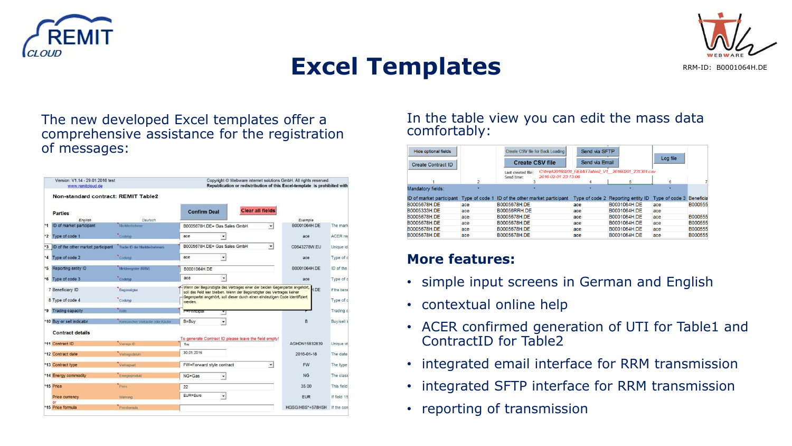



# **Excel Templates**

RRM-ID: B0001064H.DE

# The new developed Excel templates offer a comprehensive assistance for the registration of messages:

|      | Version: V1.14 - 29.01.2016 test<br>www.remitcloud.de |                                   | Copyright © Webware internet solutions GmbH. All rights reserved.<br>Republication or redistribution of this Excel-template is prohibited with                                                                                      |                      |                  |             |  |  |  |
|------|-------------------------------------------------------|-----------------------------------|-------------------------------------------------------------------------------------------------------------------------------------------------------------------------------------------------------------------------------------|----------------------|------------------|-------------|--|--|--|
|      | Non-standard contract: REMIT Table2                   |                                   |                                                                                                                                                                                                                                     |                      |                  |             |  |  |  |
|      | <b>Parties</b>                                        |                                   | <b>Clear all fields</b><br><b>Confirm Deal</b>                                                                                                                                                                                      |                      |                  |             |  |  |  |
|      | English                                               | Deutsch                           |                                                                                                                                                                                                                                     |                      | Example          |             |  |  |  |
| $*1$ | ID of market participant                              | Marktteilnehmer                   | B0005678H.DE= Gas Sales GmbH                                                                                                                                                                                                        | ۰                    | B0001064H.DE     | The mark    |  |  |  |
|      | *2 Type of code 1                                     | Codetyp                           | ace                                                                                                                                                                                                                                 |                      | ace              | ACER re     |  |  |  |
|      | *3 ID of the other market participant                 | Trader ID der Marktteilnehmers    | B0005678H.DE= Gas Sales GmbH                                                                                                                                                                                                        | $\mathbf{v}$         | C0643278W.EU     | Unique id   |  |  |  |
|      | *4 Type of code 2                                     | Codetyp                           | ace<br>٠                                                                                                                                                                                                                            |                      | ace              | Type of c   |  |  |  |
|      | *5 Reporting entity ID                                | Melderegister (RRM)               | B0001064H.DE                                                                                                                                                                                                                        |                      | B0001064H.DE     | ID of the   |  |  |  |
|      | *6 Type of code 3                                     | Codetyp                           | ace                                                                                                                                                                                                                                 |                      | ace              | Type of c   |  |  |  |
|      | 7 Beneficiary ID                                      | Begünstigter                      | Wenn der Begünstigte des Vertrages einer der beiden Gegenpartei angehört,<br>soll das Feld leer bleiben. Wenn der Begünstigter des Vertrages keiner<br>Gegenpartei angehört, soll dieser durch einen eindeutigen Code identifiziert |                      |                  | If the bene |  |  |  |
|      | 8 Type of code 4                                      | Codetyp                           | werden.                                                                                                                                                                                                                             |                      |                  | Type of c   |  |  |  |
|      | *9 Trading capacity                                   | Rolle                             | P=Principal                                                                                                                                                                                                                         |                      |                  | Trading c   |  |  |  |
|      | *10 Buy or sell indicator                             | Kennzeichen Verkäufer oder Käufer | B=Buy                                                                                                                                                                                                                               |                      | B                | Buy/sell i  |  |  |  |
|      | <b>Contract details</b>                               |                                   |                                                                                                                                                                                                                                     |                      |                  |             |  |  |  |
|      | *11 Contract ID                                       | Verrags-ID                        | To generate Contract ID please leave the field empty!<br>1w                                                                                                                                                                         |                      | AGHDN15832839    | Unique id   |  |  |  |
|      | *12 Contract date                                     | Vertragsdatum                     | 30.01.2016                                                                                                                                                                                                                          |                      | 2016-01-18       | The date    |  |  |  |
|      | *13 Contract type                                     | Vertragsart                       | FW=Forward style contract                                                                                                                                                                                                           | $\blacktriangledown$ | <b>FW</b>        | The type    |  |  |  |
|      | *14 Energy commodity                                  | Energieprodukt                    | $NG = Gas$<br>$\overline{\phantom{a}}$                                                                                                                                                                                              |                      | <b>NG</b>        | The class   |  |  |  |
|      | *15 Price                                             | Preis                             | 22                                                                                                                                                                                                                                  |                      | 35.00            | This field  |  |  |  |
|      | Price currency<br>or                                  | Währung                           | EUR=Euro<br>$\blacktriangledown$                                                                                                                                                                                                    |                      | <b>EUR</b>       | If field 15 |  |  |  |
|      |                                                       | Preisformula                      |                                                                                                                                                                                                                                     |                      | HGSG/HBS*+578HSH | If the con  |  |  |  |

## In the table view you can edit the mass data comfortably:

| <b>Hide optional fields</b> |                | Create CSV file for Back Loading                        | Send via SFTP  |                                                    |                          |         |
|-----------------------------|----------------|---------------------------------------------------------|----------------|----------------------------------------------------|--------------------------|---------|
| Create Contract ID          |                | <b>Create CSV file</b>                                  | Send via Email |                                                    | Log file                 |         |
|                             |                | Last created file:<br>2016-02-01 23:13:06<br>Send time: |                | C:\tmp\20160201_REMITTable2_V1_20160201_231301.csv |                          |         |
|                             |                |                                                         |                | 5                                                  | в                        |         |
| Mandatory fields:           |                |                                                         |                |                                                    |                          |         |
| ID of market participant    | Type of code 1 | ID of the other market participant                      |                | Type of code 2 Reporting entity ID                 | Type of code 3 Beneficia |         |
| B0005678H.DE                | ace            | B0005678H.DE                                            | ace            | B0001064H.DE                                       | ace                      | B000555 |
| B0005333H.DE                | ace            | <b>B00056RRH.DE</b>                                     | ace            | B0001064H.DE                                       | ace                      |         |
| B0005678H.DE                | ace            | B0005678H.DE                                            | ace            | B0001064H.DE                                       | ace                      | B000555 |
| B0005678H.DE                | ace            | B0005678H.DE                                            | ace            | B0001064H.DE                                       | ace                      | B000555 |
| B0005678H.DE                | ace            | B0005678H.DE                                            | ace            | B0001064H.DE                                       | ace                      | B000555 |
| B0005678H.DE                | ace            | B0005678H.DE                                            | ace            | B0001064H.DE                                       | ace                      | B000555 |

# **More features:**

- simple input screens in German and English
- contextual online help
- ACER confirmed generation of UTI for Table1 and ContractID for Table2
- integrated email interface for RRM transmission
- integrated SFTP interface for RRM transmission
- reporting of transmission